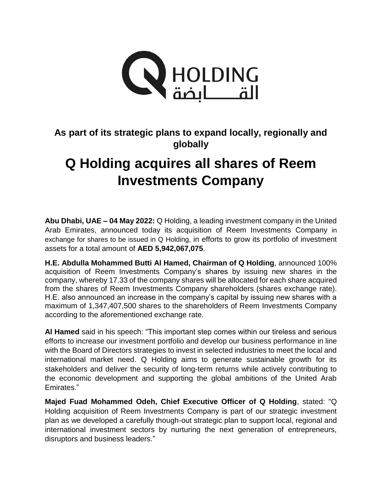

**As part of its strategic plans to expand locally, regionally and globally**

## **Q Holding acquires all shares of Reem Investments Company**

**Abu Dhabi, UAE – 04 May 2022:** Q Holding, a leading investment company in the United Arab Emirates, announced today its acquisition of Reem Investments Company in exchange for shares to be issued in Q Holding, in efforts to grow its portfolio of investment assets for a total amount of **AED 5,942,067,075**.

**H.E. Abdulla Mohammed Butti Al Hamed, Chairman of Q Holding**, announced 100% acquisition of Reem Investments Company's shares by issuing new shares in the company, whereby 17.33 of the company shares will be allocated for each share acquired from the shares of Reem Investments Company shareholders (shares exchange rate). H.E. also announced an increase in the company's capital by issuing new shares with a maximum of 1,347,407,500 shares to the shareholders of Reem Investments Company according to the aforementioned exchange rate.

**Al Hamed** said in his speech: "This important step comes within our tireless and serious efforts to increase our investment portfolio and develop our business performance in line with the Board of Directors strategies to invest in selected industries to meet the local and international market need. Q Holding aims to generate sustainable growth for its stakeholders and deliver the security of long-term returns while actively contributing to the economic development and supporting the global ambitions of the United Arab Emirates."

**Majed Fuad Mohammed Odeh, Chief Executive Officer of Q Holding**, stated: "Q Holding acquisition of Reem Investments Company is part of our strategic investment plan as we developed a carefully though-out strategic plan to support local, regional and international investment sectors by nurturing the next generation of entrepreneurs, disruptors and business leaders."